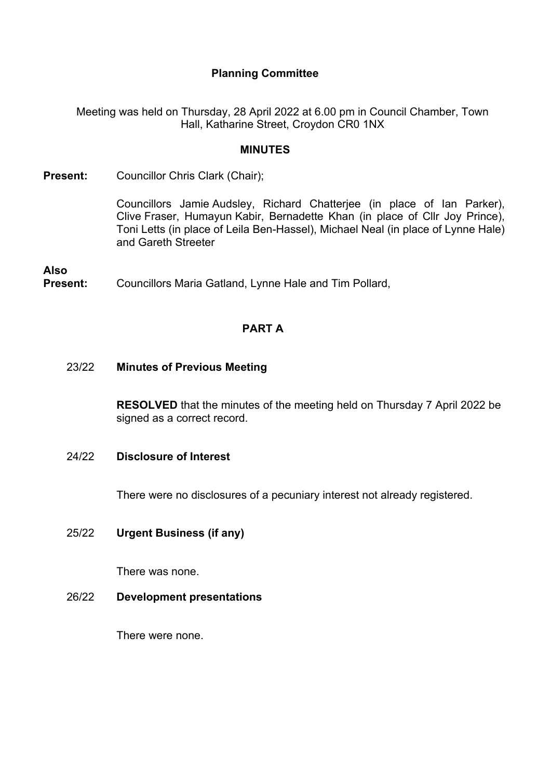# **Planning Committee**

Meeting was held on Thursday, 28 April 2022 at 6.00 pm in Council Chamber, Town Hall, Katharine Street, Croydon CR0 1NX

### **MINUTES**

**Present:** Councillor Chris Clark (Chair);

Councillors Jamie Audsley, Richard Chatterjee (in place of Ian Parker), Clive Fraser, Humayun Kabir, Bernadette Khan (in place of Cllr Joy Prince), Toni Letts (in place of Leila Ben-Hassel), Michael Neal (in place of Lynne Hale) and Gareth Streeter

**Also Present:** Councillors Maria Gatland, Lynne Hale and Tim Pollard,

# **PART A**

23/22 **Minutes of Previous Meeting**

**RESOLVED** that the minutes of the meeting held on Thursday 7 April 2022 be signed as a correct record.

### 24/22 **Disclosure of Interest**

There were no disclosures of a pecuniary interest not already registered.

# 25/22 **Urgent Business (if any)**

There was none.

26/22 **Development presentations**

There were none.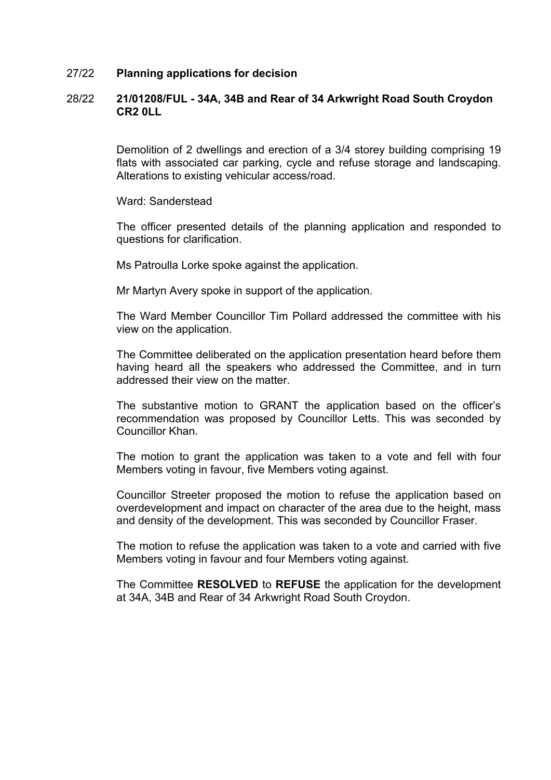#### 27/22 **Planning applications for decision**

### 28/22 **21/01208/FUL - 34A, 34B and Rear of 34 Arkwright Road South Croydon CR2 0LL**

Demolition of 2 dwellings and erection of a 3/4 storey building comprising 19 flats with associated car parking, cycle and refuse storage and landscaping. Alterations to existing vehicular access/road.

Ward: Sanderstead

The officer presented details of the planning application and responded to questions for clarification.

Ms Patroulla Lorke spoke against the application.

Mr Martyn Avery spoke in support of the application.

The Ward Member Councillor Tim Pollard addressed the committee with his view on the application.

The Committee deliberated on the application presentation heard before them having heard all the speakers who addressed the Committee, and in turn addressed their view on the matter.

The substantive motion to GRANT the application based on the officer's recommendation was proposed by Councillor Letts. This was seconded by Councillor Khan.

The motion to grant the application was taken to a vote and fell with four Members voting in favour, five Members voting against.

Councillor Streeter proposed the motion to refuse the application based on overdevelopment and impact on character of the area due to the height, mass and density of the development. This was seconded by Councillor Fraser.

The motion to refuse the application was taken to a vote and carried with five Members voting in favour and four Members voting against.

The Committee **RESOLVED** to **REFUSE** the application for the development at 34A, 34B and Rear of 34 Arkwright Road South Croydon.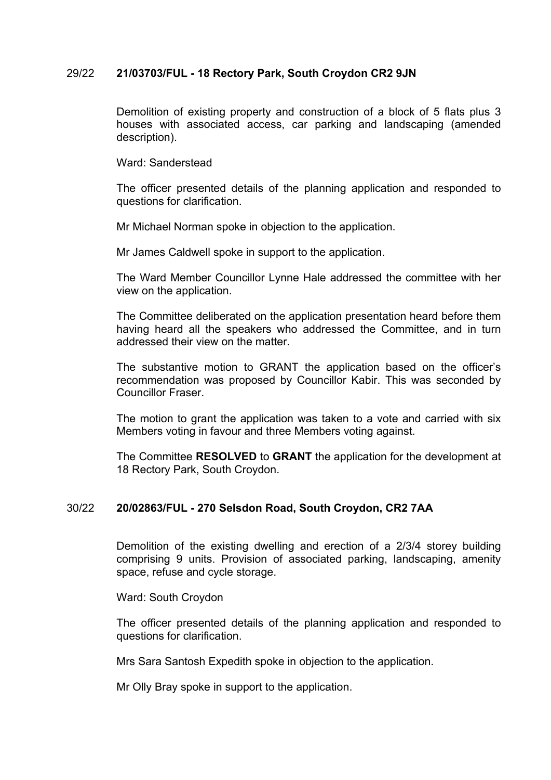### 29/22 **21/03703/FUL - 18 Rectory Park, South Croydon CR2 9JN**

Demolition of existing property and construction of a block of 5 flats plus 3 houses with associated access, car parking and landscaping (amended description).

Ward: Sanderstead

The officer presented details of the planning application and responded to questions for clarification.

Mr Michael Norman spoke in objection to the application.

Mr James Caldwell spoke in support to the application.

The Ward Member Councillor Lynne Hale addressed the committee with her view on the application.

The Committee deliberated on the application presentation heard before them having heard all the speakers who addressed the Committee, and in turn addressed their view on the matter.

The substantive motion to GRANT the application based on the officer's recommendation was proposed by Councillor Kabir. This was seconded by Councillor Fraser.

The motion to grant the application was taken to a vote and carried with six Members voting in favour and three Members voting against.

The Committee **RESOLVED** to **GRANT** the application for the development at 18 Rectory Park, South Croydon.

#### 30/22 **20/02863/FUL - 270 Selsdon Road, South Croydon, CR2 7AA**

Demolition of the existing dwelling and erection of a 2/3/4 storey building comprising 9 units. Provision of associated parking, landscaping, amenity space, refuse and cycle storage.

Ward: South Croydon

The officer presented details of the planning application and responded to questions for clarification.

Mrs Sara Santosh Expedith spoke in objection to the application.

Mr Olly Bray spoke in support to the application.